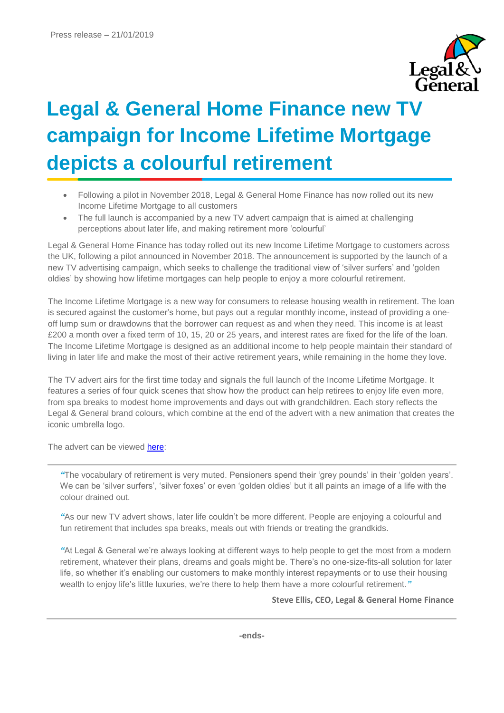

## **Legal & General Home Finance new TV campaign for Income Lifetime Mortgage depicts a colourful retirement**

- Following a pilot in November 2018, Legal & General Home Finance has now rolled out its new Income Lifetime Mortgage to all customers
- The full launch is accompanied by a new TV advert campaign that is aimed at challenging perceptions about later life, and making retirement more 'colourful'

Legal & General Home Finance has today rolled out its new Income Lifetime Mortgage to customers across the UK, following a pilot announced in November 2018. The announcement is supported by the launch of a new TV advertising campaign, which seeks to challenge the traditional view of 'silver surfers' and 'golden oldies' by showing how lifetime mortgages can help people to enjoy a more colourful retirement.

The Income Lifetime Mortgage is a new way for consumers to release housing wealth in retirement. The loan is secured against the customer's home, but pays out a regular monthly income, instead of providing a oneoff lump sum or drawdowns that the borrower can request as and when they need. This income is at least £200 a month over a fixed term of 10, 15, 20 or 25 years, and interest rates are fixed for the life of the loan. The Income Lifetime Mortgage is designed as an additional income to help people maintain their standard of living in later life and make the most of their active retirement years, while remaining in the home they love.

The TV advert airs for the first time today and signals the full launch of the Income Lifetime Mortgage. It features a series of four quick scenes that show how the product can help retirees to enjoy life even more, from spa breaks to modest home improvements and days out with grandchildren. Each story reflects the Legal & General brand colours, which combine at the end of the advert with a new animation that creates the iconic umbrella logo.

The advert can be viewed [here:](https://www.youtube.com/watch?v=7_9ALgjy2Ow)

*"*The vocabulary of retirement is very muted. Pensioners spend their 'grey pounds' in their 'golden years'. We can be 'silver surfers', 'silver foxes' or even 'golden oldies' but it all paints an image of a life with the colour drained out.

*"*As our new TV advert shows, later life couldn't be more different. People are enjoying a colourful and fun retirement that includes spa breaks, meals out with friends or treating the grandkids.

*"*At Legal & General we're always looking at different ways to help people to get the most from a modern retirement, whatever their plans, dreams and goals might be. There's no one-size-fits-all solution for later life, so whether it's enabling our customers to make monthly interest repayments or to use their housing wealth to enjoy life's little luxuries, we're there to help them have a more colourful retirement.*"*

**Steve Ellis, CEO, Legal & General Home Finance**